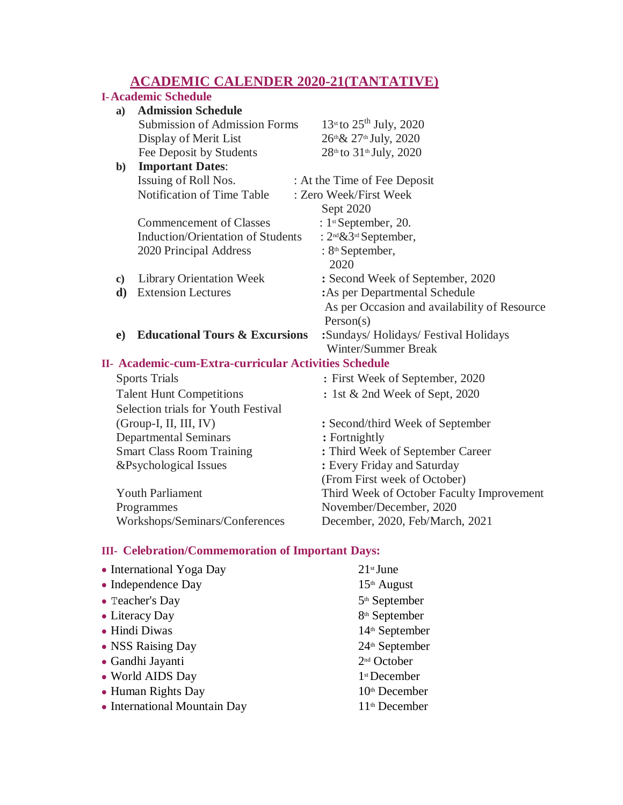## **ACADEMIC CALENDER 2020-21(TANTATIVE)**

|                                                       | <u>ACADEMIC CALENDER 2020-21(TANTATIVE)</u> |                                                |  |  |
|-------------------------------------------------------|---------------------------------------------|------------------------------------------------|--|--|
|                                                       | <b>I-Academic Schedule</b>                  |                                                |  |  |
| a)                                                    | <b>Admission Schedule</b>                   |                                                |  |  |
|                                                       | <b>Submission of Admission Forms</b>        | $13^{st}$ to $25^{th}$ July, 2020              |  |  |
|                                                       | Display of Merit List                       | 26th & 27th July, 2020                         |  |  |
|                                                       | Fee Deposit by Students                     | 28th to 31th July, 2020                        |  |  |
| $\mathbf{b}$                                          | <b>Important Dates:</b>                     |                                                |  |  |
| Issuing of Roll Nos.                                  |                                             | : At the Time of Fee Deposit                   |  |  |
|                                                       | Notification of Time Table                  | : Zero Week/First Week                         |  |  |
|                                                       |                                             | Sept 2020                                      |  |  |
|                                                       | <b>Commencement of Classes</b>              | : $1$ <sup>st</sup> September, 20.             |  |  |
|                                                       | <b>Induction/Orientation of Students</b>    | : 2 <sup>nd</sup> & 3 <sup>rd</sup> September, |  |  |
|                                                       | 2020 Principal Address                      | : 8 <sup>th</sup> September,                   |  |  |
|                                                       |                                             | 2020                                           |  |  |
| $\mathbf{c})$                                         | <b>Library Orientation Week</b>             | : Second Week of September, 2020               |  |  |
| d)                                                    | <b>Extension Lectures</b>                   | : As per Departmental Schedule                 |  |  |
|                                                       |                                             | As per Occasion and availability of Resource   |  |  |
|                                                       |                                             | Person(s)                                      |  |  |
| e)                                                    | <b>Educational Tours &amp; Excursions</b>   | :Sundays/Holidays/Festival Holidays            |  |  |
|                                                       |                                             | <b>Winter/Summer Break</b>                     |  |  |
| II- Academic-cum-Extra-curricular Activities Schedule |                                             |                                                |  |  |
| <b>Sports Trials</b>                                  |                                             | : First Week of September, 2020                |  |  |
| <b>Talent Hunt Competitions</b>                       |                                             | : 1st & 2nd Week of Sept, 2020                 |  |  |
|                                                       | Selection trials for Youth Festival         |                                                |  |  |
| (Group-I, II, III, IV)                                |                                             | : Second/third Week of September               |  |  |
| <b>Departmental Seminars</b>                          |                                             | : Fortnightly                                  |  |  |
| <b>Smart Class Room Training</b>                      |                                             | : Third Week of September Career               |  |  |
| &Psychological Issues                                 |                                             | : Every Friday and Saturday                    |  |  |
|                                                       |                                             | (From First week of October)                   |  |  |
| <b>Youth Parliament</b>                               |                                             | Third Week of October Faculty Improvement      |  |  |
| Programmes                                            |                                             | November/December, 2020                        |  |  |
|                                                       | Workshops/Seminars/Conferences              | December, 2020, Feb/March, 2021                |  |  |
|                                                       |                                             |                                                |  |  |
|                                                       |                                             |                                                |  |  |

## **III- Celebration/Commemoration of Important Days:**

| • International Yoga Day     | $21$ <sup>st</sup> June    |
|------------------------------|----------------------------|
| $\bullet$ Independence Day   | $15th$ August              |
| • Teacher's Day              | 5 <sup>th</sup> September  |
| • Literacy Day               | 8 <sup>th</sup> September  |
| • Hindi Diwas                | 14 <sup>th</sup> September |
| • NSS Raising Day            | 24 <sup>th</sup> September |
| • Gandhi Jayanti             | 2 <sup>nd</sup> October    |
| • World AIDS Day             | 1 <sup>st</sup> December   |
| • Human Rights Day           | 10th December              |
| • International Mountain Day | 11 <sup>th</sup> December  |